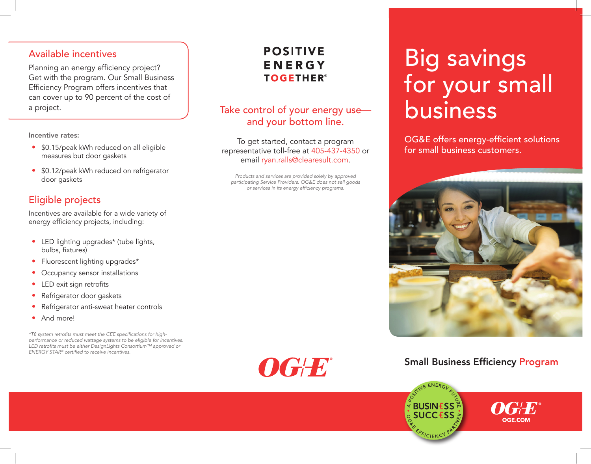#### Available incentives

Planning an energy efficiency project? Get with the program. Our Small Business Efficiency Program offers incentives that can cover up to 90 percent of the cost of a project.

Incentive rates:

- \$0.15/peak kWh reduced on all eligible measures but door gaskets
- \$0.12/peak kWh reduced on refrigerator door gaskets

#### Eligible projects

Incentives are available for a wide variety of energy efficiency projects, including:

- LED lighting upgrades\* (tube lights, bulbs, fixtures)
- Fluorescent lighting upgrades\*
- Occupancy sensor installations
- LED exit sign retrofits
- Refrigerator door gaskets
- Refrigerator anti-sweat heater controls
- And more!

\*T8 system retrofits must meet the CEE specifications for highperformance or reduced wattage systems to be eligible for incentives. LED retrofits must be either DesignLights Consortium™ approved or ENERGY STAR*®* certified to receive incentives.

## **POSITIVE** ENERGY **TOGETHER®**

### Take control of your energy use and your bottom line.

To get started, contact a program representative toll-free at 405-437-4350 or email ryan.ralls@clearesult.com.

Products and services are provided solely by approved participating Service Providers. OG&E does not sell goods or services in its energy efficiency programs.

# Big savings for your small business

OG&E offers energy-efficient solutions for small business customers.



#### Small Business Efficiency Program